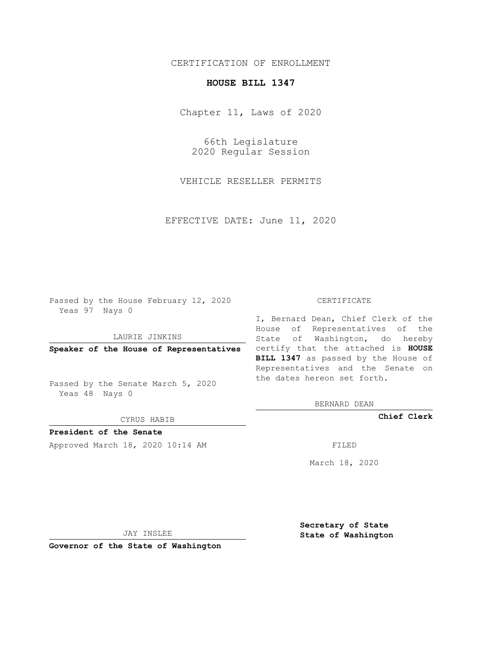## CERTIFICATION OF ENROLLMENT

## **HOUSE BILL 1347**

Chapter 11, Laws of 2020

66th Legislature 2020 Regular Session

VEHICLE RESELLER PERMITS

EFFECTIVE DATE: June 11, 2020

Passed by the House February 12, 2020 Yeas 97 Nays 0

LAURIE JINKINS

Passed by the Senate March 5, 2020 Yeas 48 Nays 0

CYRUS HABIB

**President of the Senate**

Approved March 18, 2020 10:14 AM FILED

## CERTIFICATE

**Speaker of the House of Representatives** certify that the attached is **HOUSE** I, Bernard Dean, Chief Clerk of the House of Representatives of the State of Washington, do hereby **BILL 1347** as passed by the House of Representatives and the Senate on the dates hereon set forth.

BERNARD DEAN

**Chief Clerk**

March 18, 2020

JAY INSLEE

**Governor of the State of Washington**

**Secretary of State State of Washington**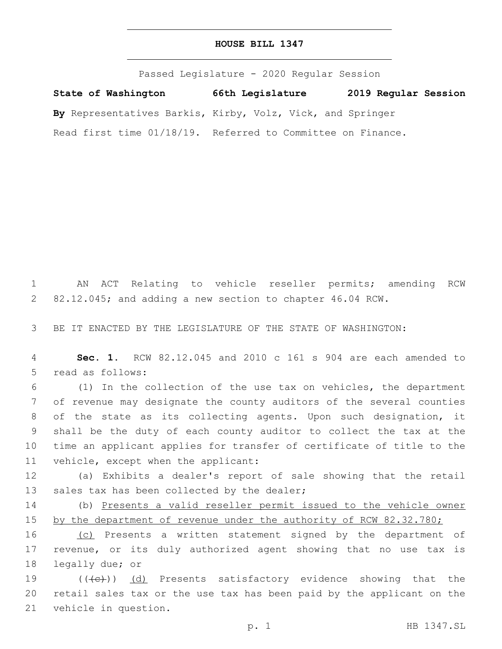## **HOUSE BILL 1347**

Passed Legislature - 2020 Regular Session **State of Washington 66th Legislature 2019 Regular Session By** Representatives Barkis, Kirby, Volz, Vick, and Springer Read first time 01/18/19. Referred to Committee on Finance.

1 AN ACT Relating to vehicle reseller permits; amending RCW 2 82.12.045; and adding a new section to chapter 46.04 RCW.

3 BE IT ENACTED BY THE LEGISLATURE OF THE STATE OF WASHINGTON:

4 **Sec. 1.** RCW 82.12.045 and 2010 c 161 s 904 are each amended to 5 read as follows:

 (1) In the collection of the use tax on vehicles, the department of revenue may designate the county auditors of the several counties of the state as its collecting agents. Upon such designation, it shall be the duty of each county auditor to collect the tax at the time an applicant applies for transfer of certificate of title to the 11 vehicle, except when the applicant:

12 (a) Exhibits a dealer's report of sale showing that the retail 13 sales tax has been collected by the dealer;

14 (b) Presents a valid reseller permit issued to the vehicle owner 15 by the department of revenue under the authority of RCW 82.32.780;

16 (c) Presents a written statement signed by the department of 17 revenue, or its duly authorized agent showing that no use tax is 18 legally due; or

19 ((<del>(c)</del>)) (d) Presents satisfactory evidence showing that the 20 retail sales tax or the use tax has been paid by the applicant on the 21 vehicle in question.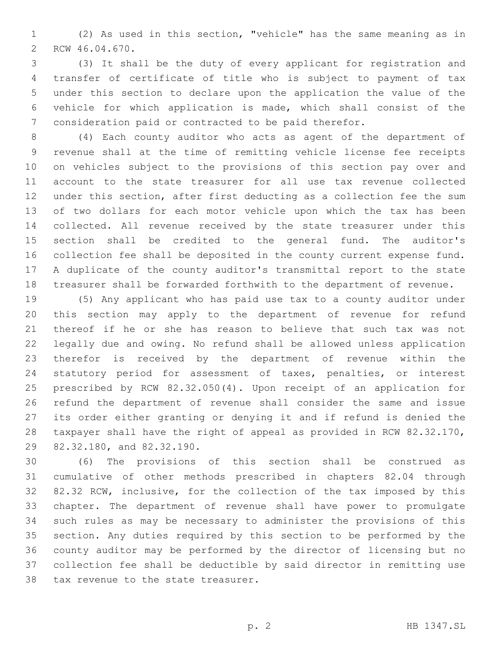(2) As used in this section, "vehicle" has the same meaning as in 2 RCW 46.04.670.

 (3) It shall be the duty of every applicant for registration and transfer of certificate of title who is subject to payment of tax under this section to declare upon the application the value of the vehicle for which application is made, which shall consist of the consideration paid or contracted to be paid therefor.

 (4) Each county auditor who acts as agent of the department of revenue shall at the time of remitting vehicle license fee receipts on vehicles subject to the provisions of this section pay over and account to the state treasurer for all use tax revenue collected under this section, after first deducting as a collection fee the sum of two dollars for each motor vehicle upon which the tax has been collected. All revenue received by the state treasurer under this section shall be credited to the general fund. The auditor's collection fee shall be deposited in the county current expense fund. A duplicate of the county auditor's transmittal report to the state treasurer shall be forwarded forthwith to the department of revenue.

 (5) Any applicant who has paid use tax to a county auditor under this section may apply to the department of revenue for refund thereof if he or she has reason to believe that such tax was not legally due and owing. No refund shall be allowed unless application therefor is received by the department of revenue within the statutory period for assessment of taxes, penalties, or interest prescribed by RCW 82.32.050(4). Upon receipt of an application for refund the department of revenue shall consider the same and issue its order either granting or denying it and if refund is denied the taxpayer shall have the right of appeal as provided in RCW 82.32.170, 29 82.32.180, and 82.32.190.

 (6) The provisions of this section shall be construed as cumulative of other methods prescribed in chapters 82.04 through 82.32 RCW, inclusive, for the collection of the tax imposed by this chapter. The department of revenue shall have power to promulgate such rules as may be necessary to administer the provisions of this section. Any duties required by this section to be performed by the county auditor may be performed by the director of licensing but no collection fee shall be deductible by said director in remitting use 38 tax revenue to the state treasurer.